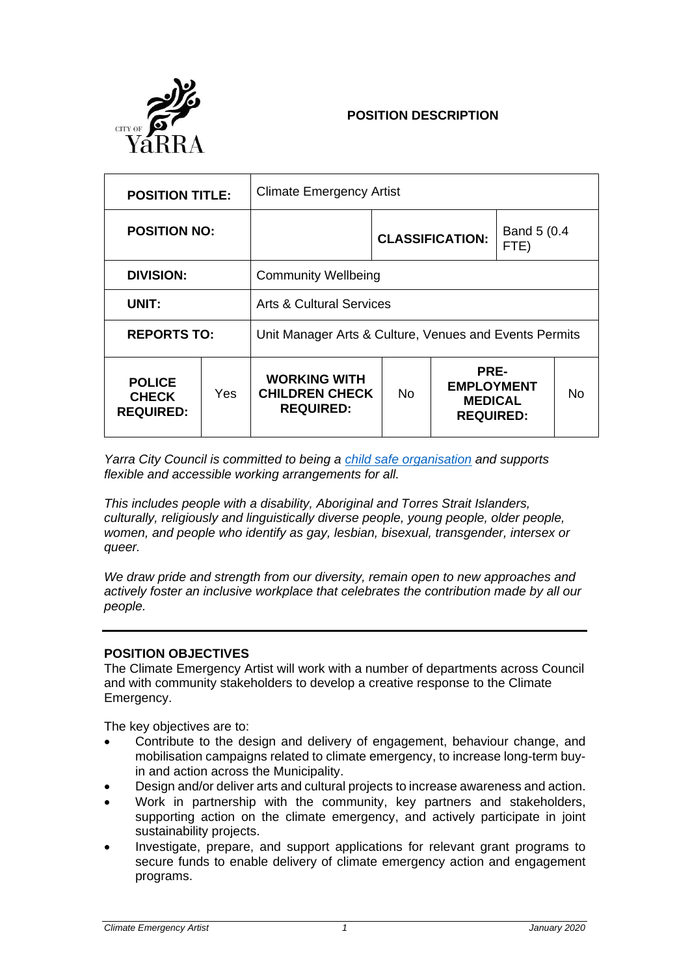

# **POSITION DESCRIPTION**

| <b>POSITION TITLE:</b>                            |      | <b>Climate Emergency Artist</b>                                  |     |                                                                 |  |    |
|---------------------------------------------------|------|------------------------------------------------------------------|-----|-----------------------------------------------------------------|--|----|
| <b>POSITION NO:</b>                               |      |                                                                  |     | Band 5 (0.4<br><b>CLASSIFICATION:</b><br>FTE)                   |  |    |
| <b>DIVISION:</b>                                  |      | <b>Community Wellbeing</b>                                       |     |                                                                 |  |    |
| UNIT:                                             |      | Arts & Cultural Services                                         |     |                                                                 |  |    |
| <b>REPORTS TO:</b>                                |      | Unit Manager Arts & Culture, Venues and Events Permits           |     |                                                                 |  |    |
| <b>POLICE</b><br><b>CHECK</b><br><b>REQUIRED:</b> | Yes. | <b>WORKING WITH</b><br><b>CHILDREN CHECK</b><br><b>REQUIRED:</b> | No. | PRE-<br><b>EMPLOYMENT</b><br><b>MEDICAL</b><br><b>REQUIRED:</b> |  | No |

*Yarra City Council is committed to being a [child safe organisation](https://www.yarracity.vic.gov.au/services/family-and-children/support-for-families#accordion-child-safe-standards) and supports flexible and accessible working arrangements for all.* 

*This includes people with a disability, Aboriginal and Torres Strait Islanders, culturally, religiously and linguistically diverse people, young people, older people, women, and people who identify as gay, lesbian, bisexual, transgender, intersex or queer.*

*We draw pride and strength from our diversity, remain open to new approaches and actively foster an inclusive workplace that celebrates the contribution made by all our people.*

### **POSITION OBJECTIVES**

The Climate Emergency Artist will work with a number of departments across Council and with community stakeholders to develop a creative response to the Climate Emergency.

The key objectives are to:

- Contribute to the design and delivery of engagement, behaviour change, and mobilisation campaigns related to climate emergency, to increase long-term buyin and action across the Municipality.
- Design and/or deliver arts and cultural projects to increase awareness and action.
- Work in partnership with the community, key partners and stakeholders, supporting action on the climate emergency, and actively participate in joint sustainability projects.
- Investigate, prepare, and support applications for relevant grant programs to secure funds to enable delivery of climate emergency action and engagement programs.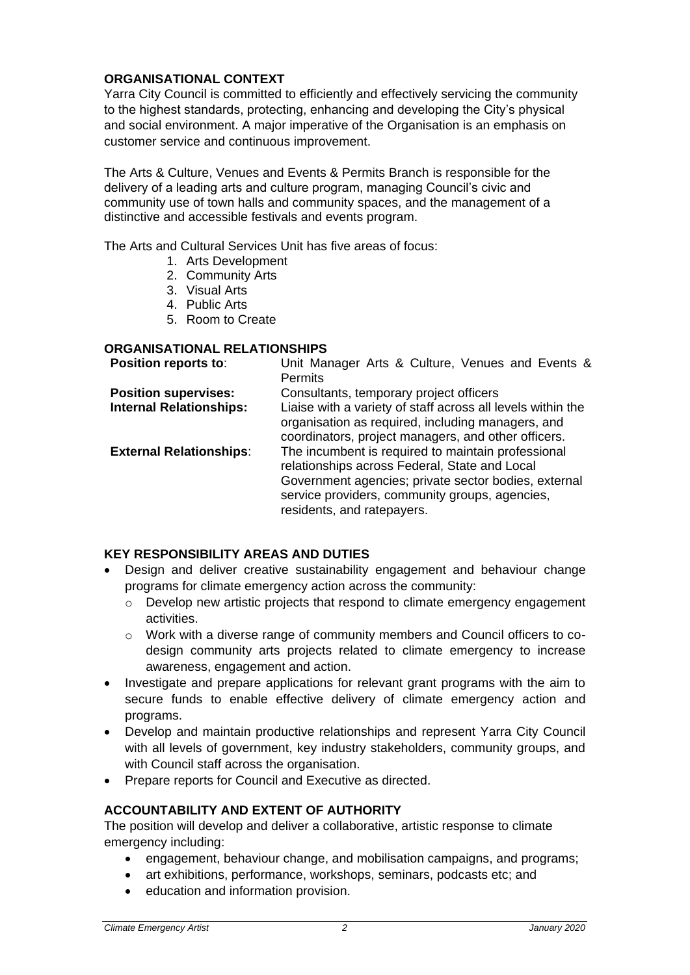## **ORGANISATIONAL CONTEXT**

Yarra City Council is committed to efficiently and effectively servicing the community to the highest standards, protecting, enhancing and developing the City's physical and social environment. A major imperative of the Organisation is an emphasis on customer service and continuous improvement.

The Arts & Culture, Venues and Events & Permits Branch is responsible for the delivery of a leading arts and culture program, managing Council's civic and community use of town halls and community spaces, and the management of a distinctive and accessible festivals and events program.

The Arts and Cultural Services Unit has five areas of focus:

- 1. Arts Development
- 2. Community Arts
- 3. Visual Arts
- 4. Public Arts
- 5. Room to Create

### **ORGANISATIONAL RELATIONSHIPS**

| Position reports to:           | Unit Manager Arts & Culture, Venues and Events &                                                                                                                                                                                            |  |
|--------------------------------|---------------------------------------------------------------------------------------------------------------------------------------------------------------------------------------------------------------------------------------------|--|
|                                | <b>Permits</b>                                                                                                                                                                                                                              |  |
| <b>Position supervises:</b>    | Consultants, temporary project officers                                                                                                                                                                                                     |  |
| <b>Internal Relationships:</b> | Liaise with a variety of staff across all levels within the<br>organisation as required, including managers, and<br>coordinators, project managers, and other officers.                                                                     |  |
| <b>External Relationships:</b> | The incumbent is required to maintain professional<br>relationships across Federal, State and Local<br>Government agencies; private sector bodies, external<br>service providers, community groups, agencies,<br>residents, and ratepayers. |  |

## **KEY RESPONSIBILITY AREAS AND DUTIES**

- Design and deliver creative sustainability engagement and behaviour change programs for climate emergency action across the community:
	- o Develop new artistic projects that respond to climate emergency engagement activities.
	- o Work with a diverse range of community members and Council officers to codesign community arts projects related to climate emergency to increase awareness, engagement and action.
- Investigate and prepare applications for relevant grant programs with the aim to secure funds to enable effective delivery of climate emergency action and programs.
- Develop and maintain productive relationships and represent Yarra City Council with all levels of government, key industry stakeholders, community groups, and with Council staff across the organisation.
- Prepare reports for Council and Executive as directed.

### **ACCOUNTABILITY AND EXTENT OF AUTHORITY**

The position will develop and deliver a collaborative, artistic response to climate emergency including:

- engagement, behaviour change, and mobilisation campaigns, and programs;
- art exhibitions, performance, workshops, seminars, podcasts etc; and
- education and information provision.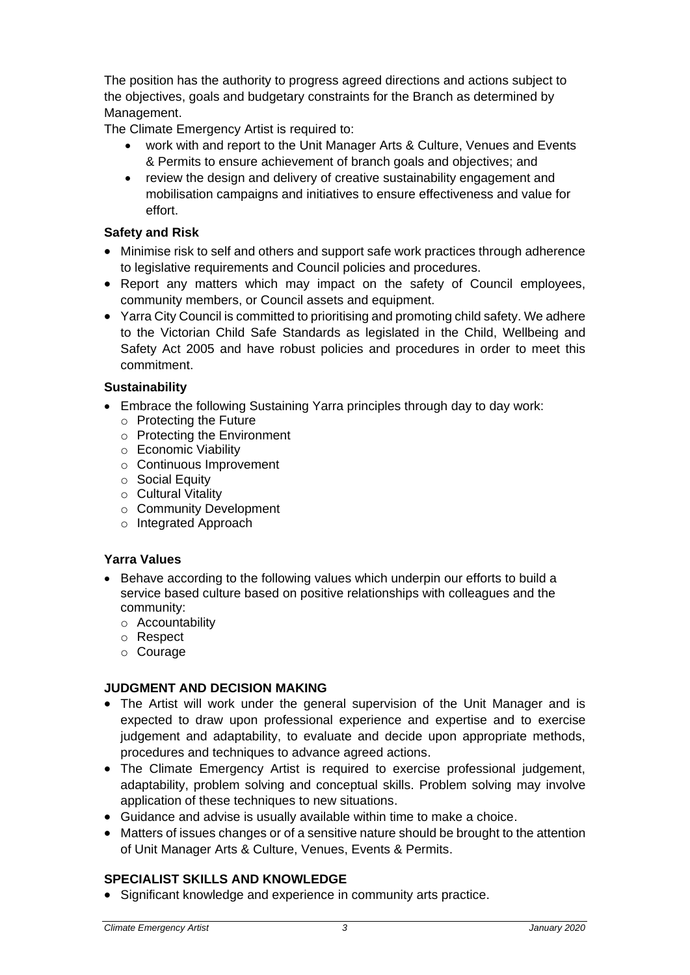The position has the authority to progress agreed directions and actions subject to the objectives, goals and budgetary constraints for the Branch as determined by Management.

The Climate Emergency Artist is required to:

- work with and report to the Unit Manager Arts & Culture, Venues and Events & Permits to ensure achievement of branch goals and objectives; and
- review the design and delivery of creative sustainability engagement and mobilisation campaigns and initiatives to ensure effectiveness and value for effort.

## **Safety and Risk**

- Minimise risk to self and others and support safe work practices through adherence to legislative requirements and Council policies and procedures.
- Report any matters which may impact on the safety of Council employees, community members, or Council assets and equipment.
- Yarra City Council is committed to prioritising and promoting child safety. We adhere to the Victorian Child Safe Standards as legislated in the Child, Wellbeing and Safety Act 2005 and have robust policies and procedures in order to meet this commitment.

### **Sustainability**

- Embrace the following Sustaining Yarra principles through day to day work:
	- o Protecting the Future
	- o Protecting the Environment
	- o Economic Viability
	- o Continuous Improvement
	- o Social Equity
	- o Cultural Vitality
	- o Community Development
	- o Integrated Approach

## **Yarra Values**

- Behave according to the following values which underpin our efforts to build a service based culture based on positive relationships with colleagues and the community:
	- o Accountability
	- o Respect
	- o Courage

### **JUDGMENT AND DECISION MAKING**

- The Artist will work under the general supervision of the Unit Manager and is expected to draw upon professional experience and expertise and to exercise judgement and adaptability, to evaluate and decide upon appropriate methods, procedures and techniques to advance agreed actions.
- The Climate Emergency Artist is required to exercise professional judgement, adaptability, problem solving and conceptual skills. Problem solving may involve application of these techniques to new situations.
- Guidance and advise is usually available within time to make a choice.
- Matters of issues changes or of a sensitive nature should be brought to the attention of Unit Manager Arts & Culture, Venues, Events & Permits.

### **SPECIALIST SKILLS AND KNOWLEDGE**

Significant knowledge and experience in community arts practice.